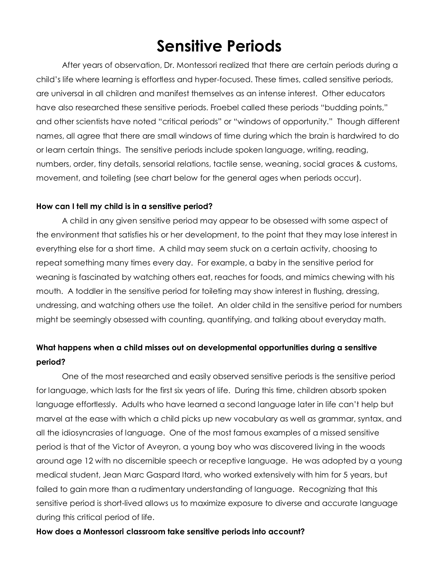# **Sensitive Periods**

After years of observation, Dr. Montessori realized that there are certain periods during a child's life where learning is effortless and hyper-focused. These times, called sensitive periods, are universal in all children and manifest themselves as an intense interest. Other educators have also researched these sensitive periods. Froebel called these periods "budding points," and other scientists have noted "critical periods" or "windows of opportunity." Though different names, all agree that there are small windows of time during which the brain is hardwired to do or learn certain things. The sensitive periods include spoken language, writing, reading, numbers, order, tiny details, sensorial relations, tactile sense, weaning, social graces & customs, movement, and toileting (see chart below for the general ages when periods occur).

## **How can I tell my child is in a sensitive period?**

A child in any given sensitive period may appear to be obsessed with some aspect of the environment that satisfies his or her development, to the point that they may lose interest in everything else for a short time. A child may seem stuck on a certain activity, choosing to repeat something many times every day. For example, a baby in the sensitive period for weaning is fascinated by watching others eat, reaches for foods, and mimics chewing with his mouth. A toddler in the sensitive period for toileting may show interest in flushing, dressing, undressing, and watching others use the toilet. An older child in the sensitive period for numbers might be seemingly obsessed with counting, quantifying, and talking about everyday math.

## **What happens when a child misses out on developmental opportunities during a sensitive period?**

One of the most researched and easily observed sensitive periods is the sensitive period for language, which lasts for the first six years of life. During this time, children absorb spoken language effortlessly. Adults who have learned a second language later in life can't help but marvel at the ease with which a child picks up new vocabulary as well as grammar, syntax, and all the idiosyncrasies of language. One of the most famous examples of a missed sensitive period is that of the Victor of Aveyron, a young boy who was discovered living in the woods around age 12 with no discernible speech or receptive language. He was adopted by a young medical student, Jean Marc Gaspard Itard, who worked extensively with him for 5 years, but failed to gain more than a rudimentary understanding of language. Recognizing that this sensitive period is short-lived allows us to maximize exposure to diverse and accurate language during this critical period of life.

### **How does a Montessori classroom take sensitive periods into account?**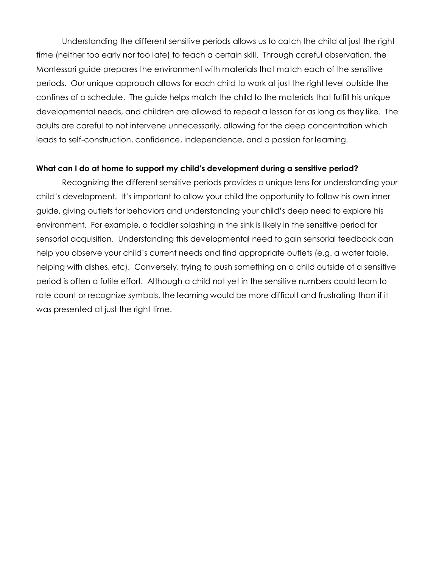Understanding the different sensitive periods allows us to catch the child at just the right time (neither too early nor too late) to teach a certain skill. Through careful observation, the Montessori guide prepares the environment with materials that match each of the sensitive periods. Our unique approach allows for each child to work at just the right level outside the confines of a schedule. The guide helps match the child to the materials that fulfill his unique developmental needs, and children are allowed to repeat a lesson for as long as they like. The adults are careful to not intervene unnecessarily, allowing for the deep concentration which leads to self-construction, confidence, independence, and a passion for learning.

### **What can I do at home to support my child's development during a sensitive period?**

Recognizing the different sensitive periods provides a unique lens for understanding your child's development. It's important to allow your child the opportunity to follow his own inner guide, giving outlets for behaviors and understanding your child's deep need to explore his environment. For example, a toddler splashing in the sink is likely in the sensitive period for sensorial acquisition. Understanding this developmental need to gain sensorial feedback can help you observe your child's current needs and find appropriate outlets (e.g. a water table, helping with dishes, etc). Conversely, trying to push something on a child outside of a sensitive period is often a futile effort. Although a child not yet in the sensitive numbers could learn to rote count or recognize symbols, the learning would be more difficult and frustrating than if it was presented at just the right time.